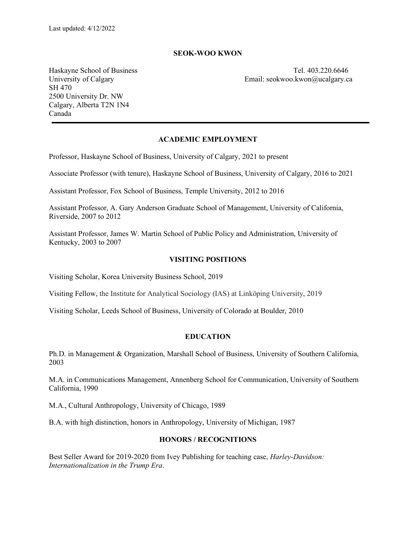#### **SEOK-WOO KWON**

SH 470 2500 University Dr. NW Calgary, Alberta T2N 1N4 Canada

Haskayne School of Business Tel. 403.220.6646 University of Calgary **Email:** seokwoo.kwon@ucalgary.ca

#### **ACADEMIC EMPLOYMENT**

Professor, Haskayne School of Business, University of Calgary, 2021 to present

Associate Professor (with tenure), Haskayne School of Business, University of Calgary, 2016 to 2021

Assistant Professor, Fox School of Business, Temple University, 2012 to 2016

Assistant Professor, A. Gary Anderson Graduate School of Management, University of California, Riverside, 2007 to 2012

Assistant Professor, James W. Martin School of Public Policy and Administration, University of Kentucky, 2003 to 2007

#### **VISITING POSITIONS**

Visiting Scholar, Korea University Business School, 2019

Visiting Fellow, the Institute for Analytical Sociology (IAS) at Linköping University, 2019

Visiting Scholar, Leeds School of Business, University of Colorado at Boulder, 2010

### **EDUCATION**

Ph.D. in Management & Organization, Marshall School of Business, University of Southern California, 2003

M.A. in Communications Management, Annenberg School for Communication, University of Southern California, 1990

M.A., Cultural Anthropology, University of Chicago, 1989

B.A. with high distinction, honors in Anthropology, University of Michigan, 1987

### **HONORS / RECOGNITIONS**

Best Seller Award for 2019-2020 from Ivey Publishing for teaching case, *Harley-Davidson: Internationalization in the Trump Era*.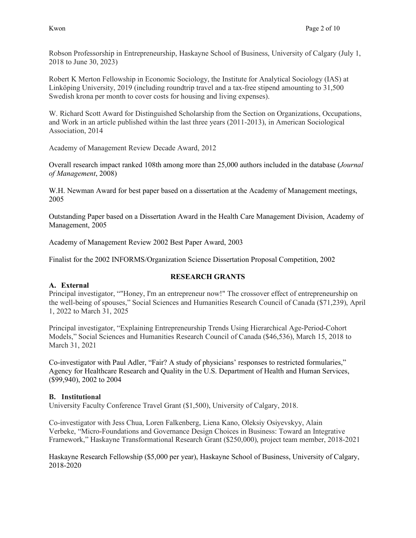Robson Professorship in Entrepreneurship, Haskayne School of Business, University of Calgary (July 1, 2018 to June 30, 2023)

Robert K Merton Fellowship in Economic Sociology, the Institute for Analytical Sociology (IAS) at Linköping University, 2019 (including roundtrip travel and a tax-free stipend amounting to 31,500 Swedish krona per month to cover costs for housing and living expenses).

W. Richard Scott Award for Distinguished Scholarship from the Section on Organizations, Occupations, and Work in an article published within the last three years (2011-2013), in American Sociological Association, 2014

Academy of Management Review Decade Award, 2012

Overall research impact ranked 108th among more than 25,000 authors included in the database (*Journal of Management*, 2008)

W.H. Newman Award for best paper based on a dissertation at the Academy of Management meetings, 2005

Outstanding Paper based on a Dissertation Award in the Health Care Management Division, Academy of Management, 2005

Academy of Management Review 2002 Best Paper Award, 2003

Finalist for the 2002 INFORMS/Organization Science Dissertation Proposal Competition, 2002

## **RESEARCH GRANTS**

### **A. External**

Principal investigator, ""Honey, I'm an entrepreneur now!" The crossover effect of entrepreneurship on the well-being of spouses," Social Sciences and Humanities Research Council of Canada (\$71,239), April 1, 2022 to March 31, 2025

Principal investigator, "Explaining Entrepreneurship Trends Using Hierarchical Age-Period-Cohort Models," Social Sciences and Humanities Research Council of Canada (\$46,536), March 15, 2018 to March 31, 2021

Co-investigator with Paul Adler, "Fair? A study of physicians' responses to restricted formularies," Agency for Healthcare Research and Quality in the U.S. Department of Health and Human Services, (\$99,940), 2002 to 2004

### **B. Institutional**

University Faculty Conference Travel Grant (\$1,500), University of Calgary, 2018.

Co-investigator with Jess Chua, Loren Falkenberg, Liena Kano, Oleksiy Osiyevskyy, Alain Verbeke, "Micro-Foundations and Governance Design Choices in Business: Toward an Integrative Framework," Haskayne Transformational Research Grant (\$250,000), project team member, 2018-2021

Haskayne Research Fellowship (\$5,000 per year), Haskayne School of Business, University of Calgary, 2018-2020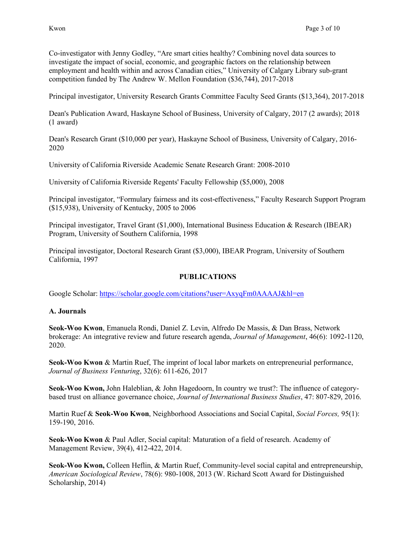Co-investigator with Jenny Godley, "Are smart cities healthy? Combining novel data sources to investigate the impact of social, economic, and geographic factors on the relationship between employment and health within and across Canadian cities," University of Calgary Library sub-grant competition funded by The Andrew W. Mellon Foundation (\$36,744), 2017-2018

Principal investigator, University Research Grants Committee Faculty Seed Grants (\$13,364), 2017-2018

Dean's Publication Award, Haskayne School of Business, University of Calgary, 2017 (2 awards); 2018 (1 award)

Dean's Research Grant (\$10,000 per year), Haskayne School of Business, University of Calgary, 2016- 2020

University of California Riverside Academic Senate Research Grant: 2008-2010

University of California Riverside Regents' Faculty Fellowship (\$5,000), 2008

Principal investigator, "Formulary fairness and its cost-effectiveness," Faculty Research Support Program (\$15,938), University of Kentucky, 2005 to 2006

Principal investigator, Travel Grant (\$1,000), International Business Education & Research (IBEAR) Program, University of Southern California, 1998

Principal investigator, Doctoral Research Grant (\$3,000), IBEAR Program, University of Southern California, 1997

## **PUBLICATIONS**

Google Scholar:<https://scholar.google.com/citations?user=AxyqFm0AAAAJ&hl=en>

### **A. Journals**

**Seok-Woo Kwon**, Emanuela Rondi, Daniel Z. Levin, Alfredo De Massis, & Dan Brass, Network brokerage: An integrative review and future research agenda, *Journal of Management*, 46(6): 1092-1120, 2020.

**Seok-Woo Kwon** & Martin Ruef, The imprint of local labor markets on entrepreneurial performance, *Journal of Business Venturing*, 32(6): 611-626, 2017

**Seok-Woo Kwon,** John Haleblian, & John Hagedoorn, In country we trust?: The influence of categorybased trust on alliance governance choice, *Journal of International Business Studies*, 47: 807-829, 2016.

Martin Ruef & **Seok-Woo Kwon**, Neighborhood Associations and Social Capital, *Social Forces,* 95(1): 159-190, 2016.

**Seok-Woo Kwon** & Paul Adler, Social capital: Maturation of a field of research. Academy of Management Review, 39(4), 412-422, 2014.

**Seok-Woo Kwon,** Colleen Heflin, & Martin Ruef, Community-level social capital and entrepreneurship, *American Sociological Review*, 78(6): 980-1008, 2013 (W. Richard Scott Award for Distinguished Scholarship, 2014)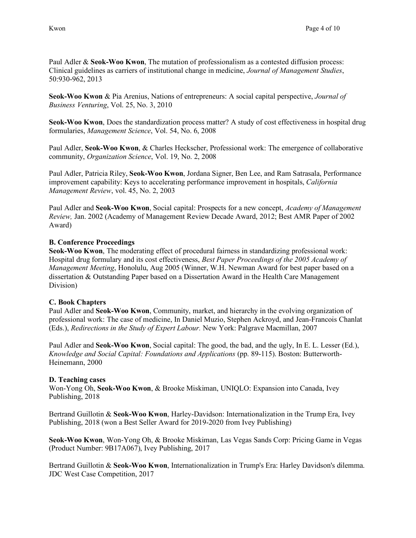Paul Adler & **Seok-Woo Kwon**, The mutation of professionalism as a contested diffusion process: Clinical guidelines as carriers of institutional change in medicine, *Journal of Management Studies*, 50:930-962, 2013

**Seok-Woo Kwon** & Pia Arenius, Nations of entrepreneurs: A social capital perspective, *Journal of Business Venturing*, Vol. 25, No. 3, 2010

**Seok-Woo Kwon**, Does the standardization process matter? A study of cost effectiveness in hospital drug formularies, *Management Science*, Vol. 54, No. 6, 2008

Paul Adler, **Seok-Woo Kwon**, & Charles Heckscher, Professional work: The emergence of collaborative community, *Organization Science*, Vol. 19, No. 2, 2008

Paul Adler, Patricia Riley, **Seok-Woo Kwon**, Jordana Signer, Ben Lee, and Ram Satrasala, Performance improvement capability: Keys to accelerating performance improvement in hospitals, *California Management Review*, vol. 45, No. 2, 2003

Paul Adler and **Seok-Woo Kwon**, Social capital: Prospects for a new concept, *Academy of Management Review,* Jan. 2002 (Academy of Management Review Decade Award, 2012; Best AMR Paper of 2002 Award)

### **B. Conference Proceedings**

**Seok-Woo Kwon**, The moderating effect of procedural fairness in standardizing professional work: Hospital drug formulary and its cost effectiveness, *Best Paper Proceedings of the 2005 Academy of Management Meeting*, Honolulu, Aug 2005 (Winner, W.H. Newman Award for best paper based on a dissertation & Outstanding Paper based on a Dissertation Award in the Health Care Management Division)

## **C. Book Chapters**

Paul Adler and **Seok-Woo Kwon**, Community, market, and hierarchy in the evolving organization of professional work: The case of medicine, In Daniel Muzio, Stephen Ackroyd, and Jean-Francois Chanlat (Eds.), *Redirections in the Study of Expert Labour.* New York: Palgrave Macmillan, 2007

Paul Adler and **Seok-Woo Kwon**, Social capital: The good, the bad, and the ugly, In E. L. Lesser (Ed.), *Knowledge and Social Capital: Foundations and Applications* (pp. 89-115). Boston: Butterworth-Heinemann, 2000

## **D. Teaching cases**

Won-Yong Oh, **Seok-Woo Kwon**, & Brooke Miskiman, UNIQLO: Expansion into Canada, Ivey Publishing, 2018

Bertrand Guillotin & **Seok-Woo Kwon**, Harley-Davidson: Internationalization in the Trump Era, Ivey Publishing, 2018 (won a Best Seller Award for 2019-2020 from Ivey Publishing)

**Seok-Woo Kwon**, Won-Yong Oh, & Brooke Miskiman, Las Vegas Sands Corp: Pricing Game in Vegas (Product Number: 9B17A067), Ivey Publishing, 2017

Bertrand Guillotin & **Seok-Woo Kwon**, Internationalization in Trump's Era: Harley Davidson's dilemma. JDC West Case Competition, 2017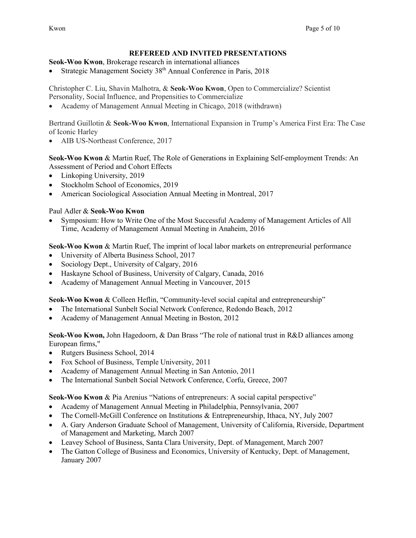## **REFEREED AND INVITED PRESENTATIONS**

**Seok-Woo Kwon**, Brokerage research in international alliances

Strategic Management Society 38<sup>th</sup> Annual Conference in Paris, 2018

Christopher C. Liu, Shavin Malhotra, & **Seok-Woo Kwon**, Open to Commercialize? Scientist Personality, Social Influence, and Propensities to Commercialize

• Academy of Management Annual Meeting in Chicago, 2018 (withdrawn)

Bertrand Guillotin & **Seok-Woo Kwon**, International Expansion in Trump's America First Era: The Case of Iconic Harley

• AIB US-Northeast Conference, 2017

**Seok-Woo Kwon** & Martin Ruef, The Role of Generations in Explaining Self-employment Trends: An Assessment of Period and Cohort Effects

- Linkoping University, 2019
- Stockholm School of Economics, 2019
- American Sociological Association Annual Meeting in Montreal, 2017

## Paul Adler & **Seok-Woo Kwon**

• Symposium: How to Write One of the Most Successful Academy of Management Articles of All Time, Academy of Management Annual Meeting in Anaheim, 2016

**Seok-Woo Kwon** & Martin Ruef, The imprint of local labor markets on entrepreneurial performance

- University of Alberta Business School, 2017
- Sociology Dept., University of Calgary, 2016
- Haskayne School of Business, University of Calgary, Canada, 2016
- Academy of Management Annual Meeting in Vancouver, 2015

**Seok-Woo Kwon** & Colleen Heflin, "Community-level social capital and entrepreneurship"

- The International Sunbelt Social Network Conference, Redondo Beach, 2012
- Academy of Management Annual Meeting in Boston, 2012

**Seok-Woo Kwon,** John Hagedoorn, & Dan Brass "The role of national trust in R&D alliances among European firms,"

- Rutgers Business School, 2014
- Fox School of Business, Temple University, 2011
- Academy of Management Annual Meeting in San Antonio, 2011
- The International Sunbelt Social Network Conference, Corfu, Greece, 2007

**Seok-Woo Kwon** & Pia Arenius "Nations of entrepreneurs: A social capital perspective"

- Academy of Management Annual Meeting in Philadelphia, Pennsylvania, 2007
- The Cornell-McGill Conference on Institutions & Entrepreneurship, Ithaca, NY, July 2007
- A. Gary Anderson Graduate School of Management, University of California, Riverside, Department of Management and Marketing, March 2007
- Leavey School of Business, Santa Clara University, Dept. of Management, March 2007
- The Gatton College of Business and Economics, University of Kentucky, Dept. of Management, January 2007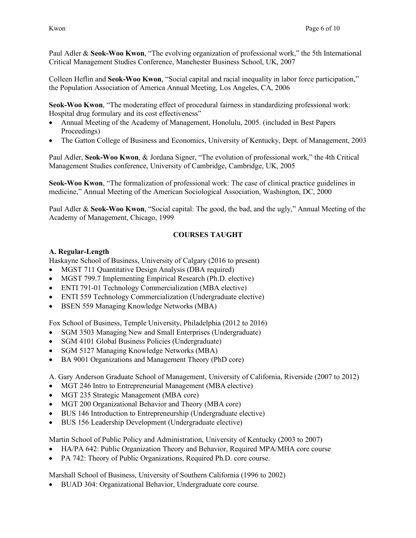Paul Adler & **Seok-Woo Kwon**, "The evolving organization of professional work," the 5th International Critical Management Studies Conference, Manchester Business School, UK, 2007

Colleen Heflin and **Seok-Woo Kwon**, "Social capital and racial inequality in labor force participation," the Population Association of America Annual Meeting, Los Angeles, CA, 2006

**Seok-Woo Kwon**, "The moderating effect of procedural fairness in standardizing professional work: Hospital drug formulary and its cost effectiveness"

- Annual Meeting of the Academy of Management, Honolulu, 2005. (included in Best Papers Proceedings)
- The Gatton College of Business and Economics, University of Kentucky, Dept. of Management, 2003

Paul Adler, **Seok-Woo Kwon**, & Jordana Signer, "The evolution of professional work," the 4th Critical Management Studies conference, University of Cambridge, Cambridge, UK, 2005

**Seok-Woo Kwon**, "The formalization of professional work: The case of clinical practice guidelines in medicine," Annual Meeting of the American Sociological Association, Washington, DC, 2000

Paul Adler & **Seok-Woo Kwon**, "Social capital: The good, the bad, and the ugly," Annual Meeting of the Academy of Management, Chicago, 1999

# **COURSES TAUGHT**

### **A. Regular-Length**

Haskayne School of Business, University of Calgary (2016 to present)

- MGST 711 Quantitative Design Analysis (DBA required)
- MGST 799.7 Implementing Empirical Research (Ph.D. elective)
- ENTI 791-01 Technology Commercialization (MBA elective)
- ENTI 559 Technology Commercialization (Undergraduate elective)
- BSEN 559 Managing Knowledge Networks (MBA)

Fox School of Business, Temple University, Philadelphia (2012 to 2016)

- SGM 3503 Managing New and Small Enterprises (Undergraduate)
- SGM 4101 Global Business Policies (Undergraduate)
- SGM 5127 Managing Knowledge Networks (MBA)
- BA 9001 Organizations and Management Theory (PhD core)

A. Gary Anderson Graduate School of Management, University of California, Riverside (2007 to 2012)

- MGT 246 Intro to Entrepreneurial Management (MBA elective)
- MGT 235 Strategic Management (MBA core)
- MGT 200 Organizational Behavior and Theory (MBA core)
- BUS 146 Introduction to Entrepreneurship (Undergraduate elective)
- BUS 156 Leadership Development (Undergraduate elective)

Martin School of Public Policy and Administration, University of Kentucky (2003 to 2007)

- HA/PA 642: Public Organization Theory and Behavior, Required MPA/MHA core course
- PA 742: Theory of Public Organizations, Required Ph.D. core course.

Marshall School of Business, University of Southern California (1996 to 2002)

• BUAD 304: Organizational Behavior, Undergraduate core course.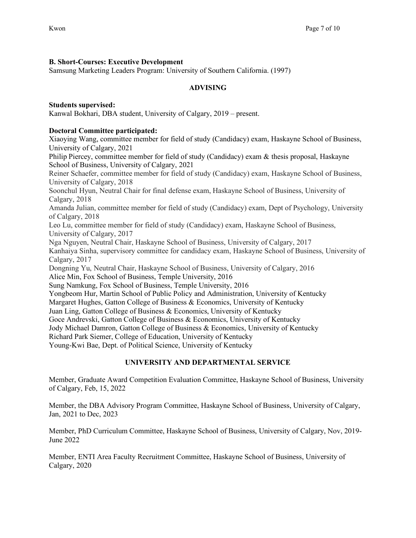# **B. Short-Courses: Executive Development**

Samsung Marketing Leaders Program: University of Southern California. (1997)

# **ADVISING**

**Students supervised:**  Kanwal Bokhari, DBA student, University of Calgary, 2019 – present.

## **Doctoral Committee participated:**

Xiaoying Wang, committee member for field of study (Candidacy) exam, Haskayne School of Business, University of Calgary, 2021

Philip Piercey, committee member for field of study (Candidacy) exam & thesis proposal, Haskayne School of Business, University of Calgary, 2021

Reiner Schaefer, committee member for field of study (Candidacy) exam, Haskayne School of Business, University of Calgary, 2018

Soonchul Hyun, Neutral Chair for final defense exam, Haskayne School of Business, University of Calgary, 2018

Amanda Julian, committee member for field of study (Candidacy) exam, Dept of Psychology, University of Calgary, 2018

Leo Lu, committee member for field of study (Candidacy) exam, Haskayne School of Business, University of Calgary, 2017

Nga Nguyen, Neutral Chair, Haskayne School of Business, University of Calgary, 2017 Kanhaiya Sinha, supervisory committee for candidacy exam, Haskayne School of Business, University of Calgary, 2017

Dongning Yu, Neutral Chair, Haskayne School of Business, University of Calgary, 2016 Alice Min, Fox School of Business, Temple University, 2016

Sung Namkung, Fox School of Business, Temple University, 2016

Yongbeom Hur, Martin School of Public Policy and Administration, University of Kentucky

Margaret Hughes, Gatton College of Business & Economics, University of Kentucky

Juan Ling, Gatton College of Business & Economics, University of Kentucky

Goce Andrevski, Gatton College of Business & Economics, University of Kentucky

Jody Michael Damron, Gatton College of Business & Economics, University of Kentucky

Richard Park Siemer, College of Education, University of Kentucky

Young-Kwi Bae, Dept. of Political Science, University of Kentucky

# **UNIVERSITY AND DEPARTMENTAL SERVICE**

Member, Graduate Award Competition Evaluation Committee, Haskayne School of Business, University of Calgary, Feb, 15, 2022

Member, the DBA Advisory Program Committee, Haskayne School of Business, University of Calgary, Jan, 2021 to Dec, 2023

Member, PhD Curriculum Committee, Haskayne School of Business, University of Calgary, Nov, 2019- June 2022

Member, ENTI Area Faculty Recruitment Committee, Haskayne School of Business, University of Calgary, 2020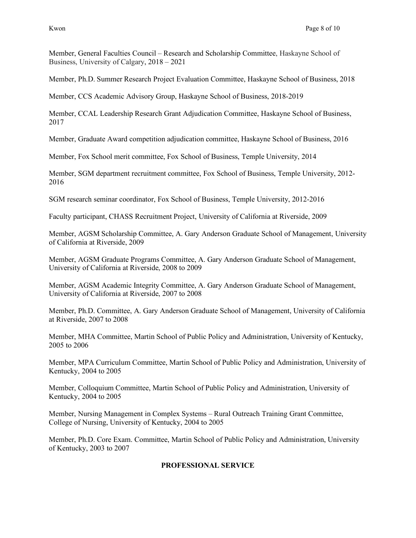Member, General Faculties Council – Research and Scholarship Committee, Haskayne School of Business, University of Calgary, 2018 – 2021

Member, Ph.D. Summer Research Project Evaluation Committee, Haskayne School of Business, 2018

Member, CCS Academic Advisory Group, Haskayne School of Business, 2018-2019

Member, CCAL Leadership Research Grant Adjudication Committee, Haskayne School of Business, 2017

Member, Graduate Award competition adjudication committee, Haskayne School of Business, 2016

Member, Fox School merit committee, Fox School of Business, Temple University, 2014

Member, SGM department recruitment committee, Fox School of Business, Temple University, 2012- 2016

SGM research seminar coordinator, Fox School of Business, Temple University, 2012-2016

Faculty participant, CHASS Recruitment Project, University of California at Riverside, 2009

Member, AGSM Scholarship Committee, A. Gary Anderson Graduate School of Management, University of California at Riverside, 2009

Member, AGSM Graduate Programs Committee, A. Gary Anderson Graduate School of Management, University of California at Riverside, 2008 to 2009

Member, AGSM Academic Integrity Committee, A. Gary Anderson Graduate School of Management, University of California at Riverside, 2007 to 2008

Member, Ph.D. Committee, A. Gary Anderson Graduate School of Management, University of California at Riverside, 2007 to 2008

Member, MHA Committee, Martin School of Public Policy and Administration, University of Kentucky, 2005 to 2006

Member, MPA Curriculum Committee, Martin School of Public Policy and Administration, University of Kentucky, 2004 to 2005

Member, Colloquium Committee, Martin School of Public Policy and Administration, University of Kentucky, 2004 to 2005

Member, Nursing Management in Complex Systems – Rural Outreach Training Grant Committee, College of Nursing, University of Kentucky, 2004 to 2005

Member, Ph.D. Core Exam. Committee, Martin School of Public Policy and Administration, University of Kentucky, 2003 to 2007

# **PROFESSIONAL SERVICE**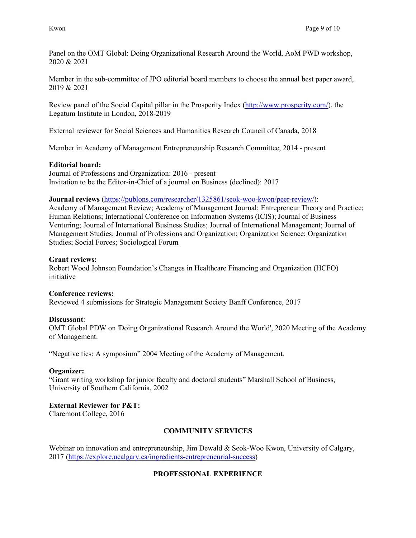Panel on the OMT Global: Doing Organizational Research Around the World, AoM PWD workshop, 2020 & 2021

Member in the sub-committee of JPO editorial board members to choose the annual best paper award, 2019 & 2021

Review panel of the Social Capital pillar in the Prosperity Index [\(http://www.prosperity.com/\)](https://url6.mailanyone.net/v1/?m=1fptVL-00049w-3z&i=57e1b682&c=yFh8qA4KEdqfmyKReYCk9RyDFQKW8VIIUat61eA-g2mdhQZHHO2-gCwQFDNJh63ew09Ad4RLj2e-ZVqoFwOvWyla0PbQezM_LyshnRprPHsin2zyCsvyL7KIvIdgcjtYDTkGKURfWRFrvw_0dFj4TC0vHSLeyZhgPwpkz1-EYo87F2R1UAqqg_3Km5u1KafLTkRLWQfXfQzWbZkTQHSnYGB-mJhmbzlcU5sg_A9AkEI), the Legatum Institute in London, 2018-2019

External reviewer for Social Sciences and Humanities Research Council of Canada, 2018

Member in Academy of Management Entrepreneurship Research Committee, 2014 - present

### **Editorial board:**

Journal of Professions and Organization: 2016 - present Invitation to be the Editor-in-Chief of a journal on Business (declined): 2017

### **Journal reviews** [\(https://publons.com/researcher/1325861/seok-woo-kwon/peer-review/\)](https://publons.com/researcher/1325861/seok-woo-kwon/peer-review/):

Academy of Management Review; Academy of Management Journal; Entrepreneur Theory and Practice; Human Relations; International Conference on Information Systems (ICIS); Journal of Business Venturing; Journal of International Business Studies; Journal of International Management; Journal of Management Studies; Journal of Professions and Organization; Organization Science; Organization Studies; Social Forces; Sociological Forum

### **Grant reviews:**

Robert Wood Johnson Foundation's Changes in Healthcare Financing and Organization (HCFO) initiative

### **Conference reviews:**

Reviewed 4 submissions for Strategic Management Society Banff Conference, 2017

### **Discussant**:

OMT Global PDW on 'Doing Organizational Research Around the World', 2020 Meeting of the Academy of Management.

"Negative ties: A symposium" 2004 Meeting of the Academy of Management.

### **Organizer:**

"Grant writing workshop for junior faculty and doctoral students" Marshall School of Business, University of Southern California, 2002

## **External Reviewer for P&T:**

Claremont College, 2016

## **COMMUNITY SERVICES**

Webinar on innovation and entrepreneurship, Jim Dewald & Seok-Woo Kwon, University of Calgary, 2017 [\(https://explore.ucalgary.ca/ingredients-entrepreneurial-success\)](https://explore.ucalgary.ca/ingredients-entrepreneurial-success)

## **PROFESSIONAL EXPERIENCE**